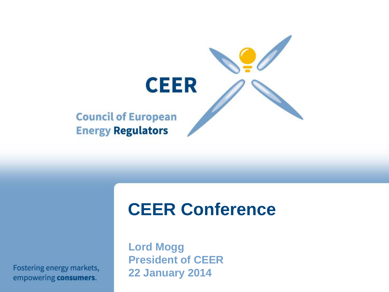

## **CEER Conference**

Fostering energy markets, empowering consumers.

**Lord Mogg President of CEER 22 January 2014**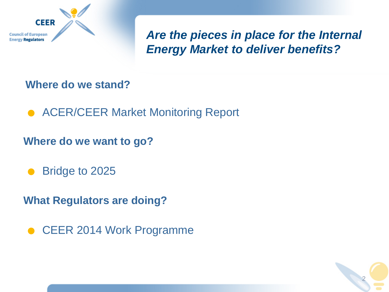

*Are the pieces in place for the Internal Energy Market to deliver benefits?*

#### **Where do we stand?**

● ACER/CEER Market Monitoring Report

**Where do we want to go?**<br>● Bridge to 2025

**What Regulators are doing?**

. CEER 2014 Work Programme

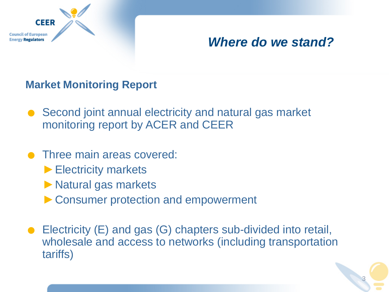

### *Where do we stand?*

#### **Market Monitoring Report**

- Second joint annual electricity and natural gas market monitoring report by ACER and CEER
- **Three main areas covered:** 
	- ►Electricity markets
	- ►Natural gas markets
	- ► Consumer protection and empowerment
- . Electricity (E) and gas (G) chapters sub-divided into retail, wholesale and access to networks (including transportation tariffs)

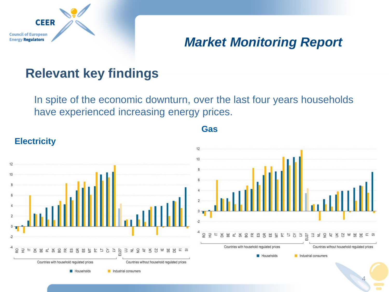

## *Market Monitoring Report*

## **Relevant key findings**

In spite of the economic downturn, over the last four years households have experienced increasing energy prices.

**Gas**

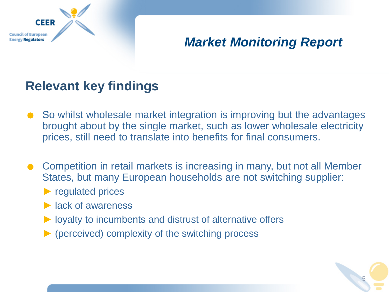

## *Market Monitoring Report*

## **Relevant key findings**

- So whilst wholesale market integration is improving but the advantages brought about by the single market, such as lower wholesale electricity prices, still need to translate into benefits for final consumers.
- . Competition in retail markets is increasing in many, but not all Member States, but many European households are not switching supplier:
	- ► regulated prices
	- $\blacktriangleright$  lack of awareness
	- ► loyalty to incumbents and distrust of alternative offers
	- $\triangleright$  (perceived) complexity of the switching process

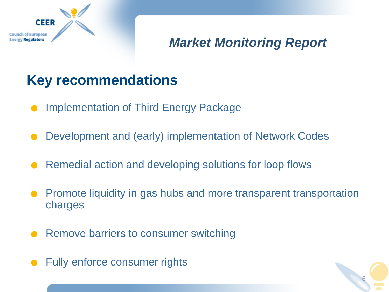

## *Market Monitoring Report*

6

## **Key recommendations**

- .Implementation of Third Energy Package
- . Development and (early) implementation of Network Codes
- . Remedial action and developing solutions for loop flows
- . Promote liquidity in gas hubs and more transparent transportation charges
- . Remove barriers to consumer switching
- . Fully enforce consumer rights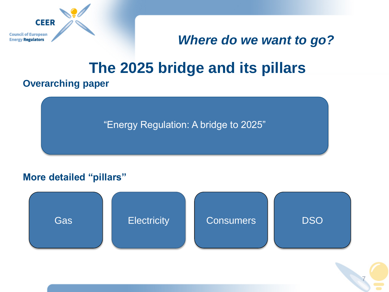

### *Where do we want to go?*

7

## **The 2025 bridge and its pillars**

#### **Overarching paper**

"Energy Regulation: A bridge to 2025"

#### **More detailed "pillars"**

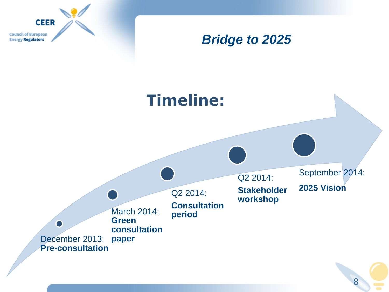

### *Bridge to 2025*

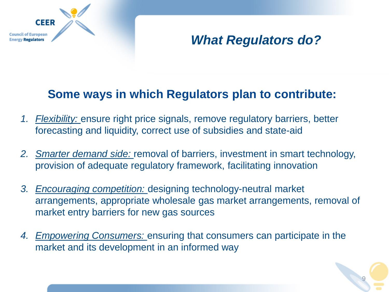## *What Regulators do?*

#### **Some ways in which Regulators plan to contribute:**

*1. Flexibility:* ensure right price signals, remove regulatory barriers, better forecasting and liquidity, correct use of subsidies and state-aid

**CEER** 

of European **Regulators** 

- *2. Smarter demand side:* removal of barriers, investment in smart technology, provision of adequate regulatory framework, facilitating innovation
- *3. Encouraging competition:* designing technology-neutral market arrangements, appropriate wholesale gas market arrangements, removal of market entry barriers for new gas sources
- *4. Empowering Consumers:* ensuring that consumers can participate in the market and its development in an informed way

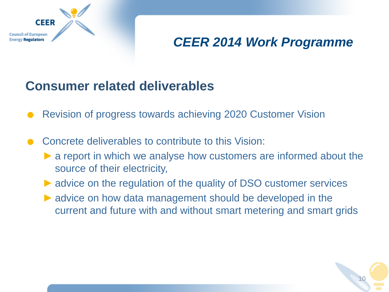

## *CEER 2014 Work Programme*

### **Consumer related deliverables**

- **Consumer related deliverables**<br>• Revision of progress towards achieving 2020 Customer Vision
- Revision of progress towards achieving 2020 Customer Concrete deliverables to contribute to this Vision:
	- $\triangleright$  a report in which we analyse how customers are informed about the source of their electricity,
	- ► advice on the regulation of the quality of DSO customer services
	- $\triangleright$  advice on how data management should be developed in the current and future with and without smart metering and smart grids